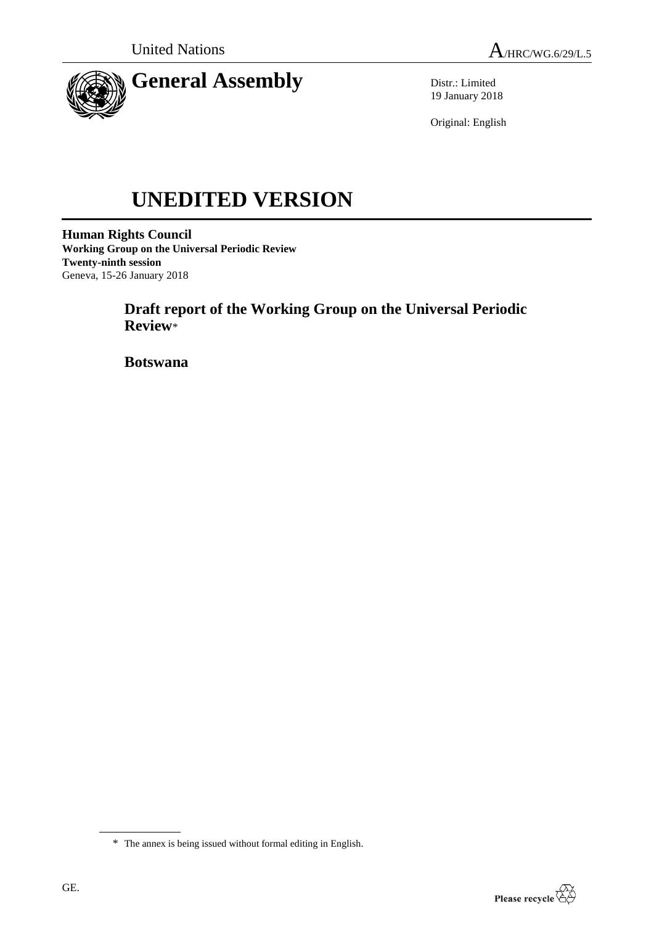

Distr.: Limited 19 January 2018

Original: English

# **UNEDITED VERSION**

**Human Rights Council Working Group on the Universal Periodic Review Twenty-ninth session** Geneva, 15-26 January 2018

> **Draft report of the Working Group on the Universal Periodic Review**\*

**Botswana**



<sup>\*</sup> The annex is being issued without formal editing in English.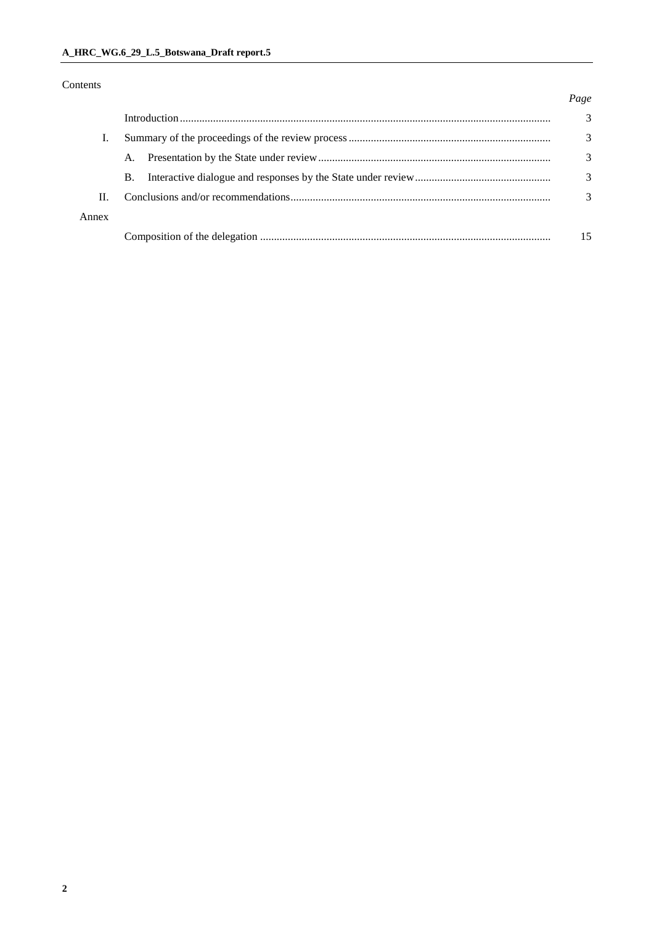### Contents

#### *Page*

|       |           |  | 3 |
|-------|-----------|--|---|
|       |           |  | 3 |
|       |           |  | 3 |
|       | <b>B.</b> |  | 3 |
| Π.    |           |  |   |
| Annex |           |  |   |
|       |           |  |   |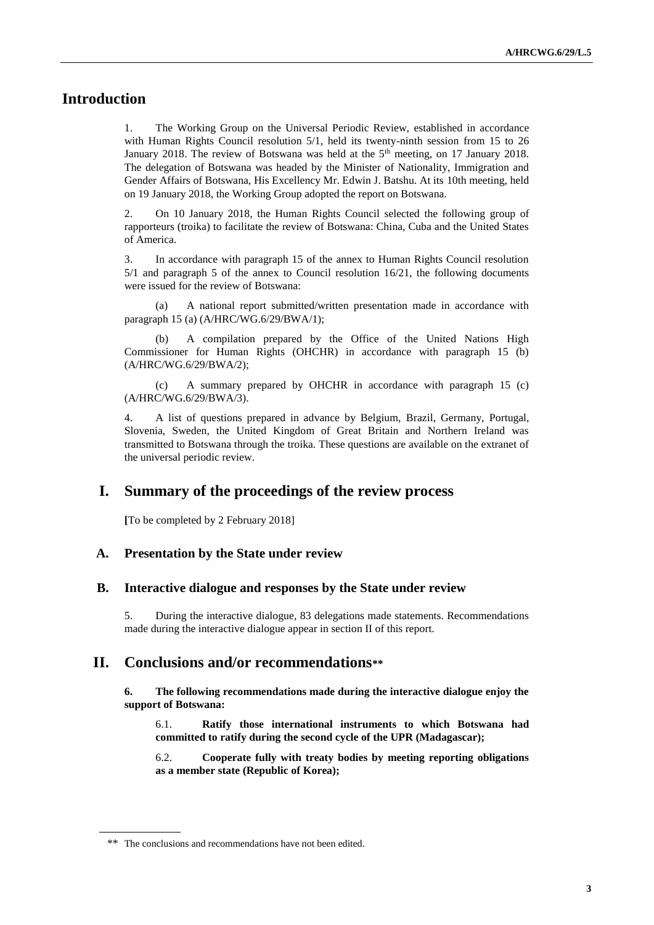## **Introduction**

1. The Working Group on the Universal Periodic Review, established in accordance with Human Rights Council resolution 5/1, held its twenty-ninth session from 15 to 26 January 2018. The review of Botswana was held at the 5<sup>th</sup> meeting, on 17 January 2018. The delegation of Botswana was headed by the Minister of Nationality, Immigration and Gender Affairs of Botswana, His Excellency Mr. Edwin J. Batshu. At its 10th meeting, held on 19 January 2018, the Working Group adopted the report on Botswana.

2. On 10 January 2018, the Human Rights Council selected the following group of rapporteurs (troika) to facilitate the review of Botswana: China, Cuba and the United States of America.

3. In accordance with paragraph 15 of the annex to Human Rights Council resolution 5/1 and paragraph 5 of the annex to Council resolution 16/21, the following documents were issued for the review of Botswana:

(a) A national report submitted/written presentation made in accordance with paragraph 15 (a) (A/HRC/WG.6/29/BWA/1);

A compilation prepared by the Office of the United Nations High Commissioner for Human Rights (OHCHR) in accordance with paragraph 15 (b) (A/HRC/WG.6/29/BWA/2);

(c) A summary prepared by OHCHR in accordance with paragraph 15 (c) (A/HRC/WG.6/29/BWA/3).

4. A list of questions prepared in advance by Belgium, Brazil, Germany, Portugal, Slovenia, Sweden, the United Kingdom of Great Britain and Northern Ireland was transmitted to Botswana through the troika. These questions are available on the extranet of the universal periodic review.

## **I. Summary of the proceedings of the review process**

**[**To be completed by 2 February 2018]

#### **A. Presentation by the State under review**

#### **B. Interactive dialogue and responses by the State under review**

5. During the interactive dialogue, 83 delegations made statements. Recommendations made during the interactive dialogue appear in section II of this report.

## **II. Conclusions and/or recommendations\*\***

**6. The following recommendations made during the interactive dialogue enjoy the support of Botswana:**

6.1. **Ratify those international instruments to which Botswana had committed to ratify during the second cycle of the UPR (Madagascar);**

6.2. **Cooperate fully with treaty bodies by meeting reporting obligations as a member state (Republic of Korea);**

<sup>\*\*</sup> The conclusions and recommendations have not been edited.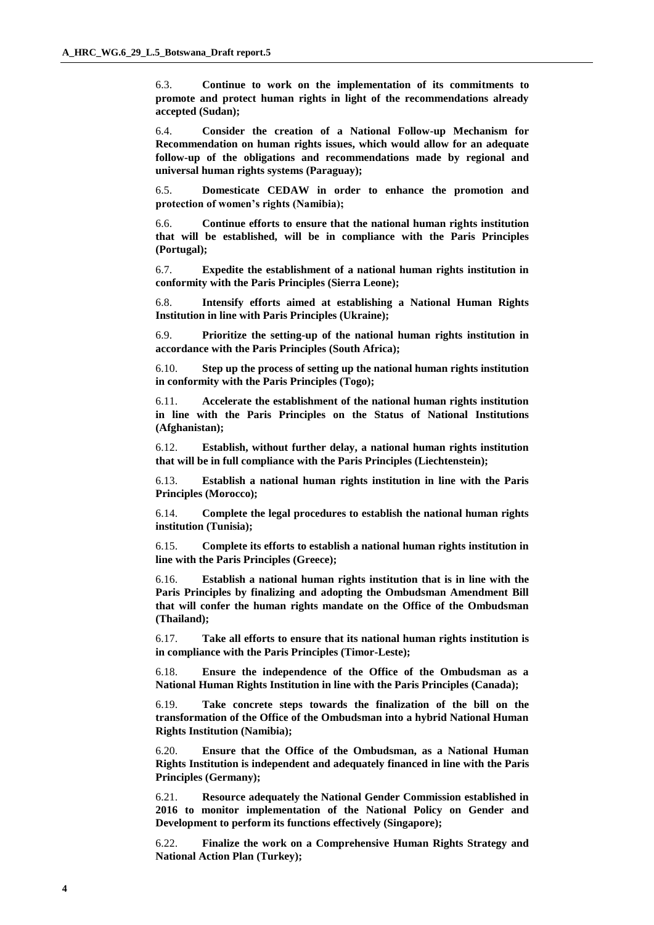6.3. **Continue to work on the implementation of its commitments to promote and protect human rights in light of the recommendations already accepted (Sudan);**

6.4. **Consider the creation of a National Follow-up Mechanism for Recommendation on human rights issues, which would allow for an adequate follow-up of the obligations and recommendations made by regional and universal human rights systems (Paraguay);**

6.5. **Domesticate CEDAW in order to enhance the promotion and protection of women's rights (Namibia);**

6.6. **Continue efforts to ensure that the national human rights institution that will be established, will be in compliance with the Paris Principles (Portugal);**

6.7. **Expedite the establishment of a national human rights institution in conformity with the Paris Principles (Sierra Leone);**

6.8. **Intensify efforts aimed at establishing a National Human Rights Institution in line with Paris Principles (Ukraine);**

6.9. **Prioritize the setting-up of the national human rights institution in accordance with the Paris Principles (South Africa);**

6.10. **Step up the process of setting up the national human rights institution in conformity with the Paris Principles (Togo);**

6.11. **Accelerate the establishment of the national human rights institution in line with the Paris Principles on the Status of National Institutions (Afghanistan);**

6.12. **Establish, without further delay, a national human rights institution that will be in full compliance with the Paris Principles (Liechtenstein);**

6.13. **Establish a national human rights institution in line with the Paris Principles (Morocco);**

6.14. **Complete the legal procedures to establish the national human rights institution (Tunisia);**

6.15. **Complete its efforts to establish a national human rights institution in line with the Paris Principles (Greece);**

6.16. **Establish a national human rights institution that is in line with the Paris Principles by finalizing and adopting the Ombudsman Amendment Bill that will confer the human rights mandate on the Office of the Ombudsman (Thailand);**

6.17. **Take all efforts to ensure that its national human rights institution is in compliance with the Paris Principles (Timor-Leste);**

6.18. **Ensure the independence of the Office of the Ombudsman as a National Human Rights Institution in line with the Paris Principles (Canada);**

6.19. **Take concrete steps towards the finalization of the bill on the transformation of the Office of the Ombudsman into a hybrid National Human Rights Institution (Namibia);**

6.20. **Ensure that the Office of the Ombudsman, as a National Human Rights Institution is independent and adequately financed in line with the Paris Principles (Germany);**

6.21. **Resource adequately the National Gender Commission established in 2016 to monitor implementation of the National Policy on Gender and Development to perform its functions effectively (Singapore);**

6.22. **Finalize the work on a Comprehensive Human Rights Strategy and National Action Plan (Turkey);**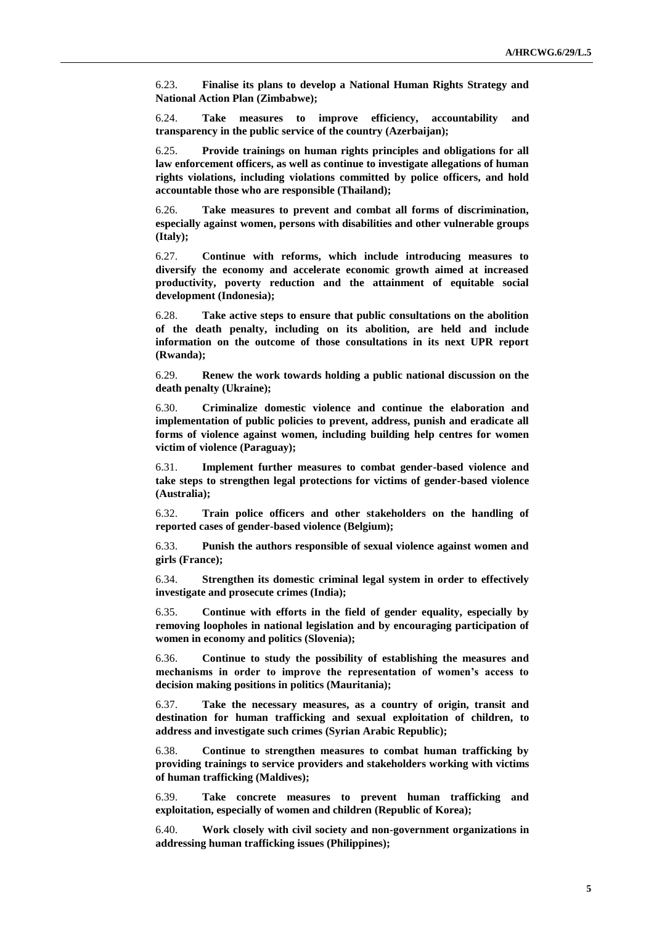6.23. **Finalise its plans to develop a National Human Rights Strategy and National Action Plan (Zimbabwe);**

6.24. **Take measures to improve efficiency, accountability and transparency in the public service of the country (Azerbaijan);**

6.25. **Provide trainings on human rights principles and obligations for all law enforcement officers, as well as continue to investigate allegations of human rights violations, including violations committed by police officers, and hold accountable those who are responsible (Thailand);**

6.26. **Take measures to prevent and combat all forms of discrimination, especially against women, persons with disabilities and other vulnerable groups (Italy);**

6.27. **Continue with reforms, which include introducing measures to diversify the economy and accelerate economic growth aimed at increased productivity, poverty reduction and the attainment of equitable social development (Indonesia);**

6.28. **Take active steps to ensure that public consultations on the abolition of the death penalty, including on its abolition, are held and include information on the outcome of those consultations in its next UPR report (Rwanda);**

6.29. **Renew the work towards holding a public national discussion on the death penalty (Ukraine);**

6.30. **Criminalize domestic violence and continue the elaboration and implementation of public policies to prevent, address, punish and eradicate all forms of violence against women, including building help centres for women victim of violence (Paraguay);**

6.31. **Implement further measures to combat gender-based violence and take steps to strengthen legal protections for victims of gender-based violence (Australia);**

6.32. **Train police officers and other stakeholders on the handling of reported cases of gender-based violence (Belgium);**

6.33. **Punish the authors responsible of sexual violence against women and girls (France);**

6.34. **Strengthen its domestic criminal legal system in order to effectively investigate and prosecute crimes (India);**

6.35. **Continue with efforts in the field of gender equality, especially by removing loopholes in national legislation and by encouraging participation of women in economy and politics (Slovenia);**

6.36. **Continue to study the possibility of establishing the measures and mechanisms in order to improve the representation of women's access to decision making positions in politics (Mauritania);**

6.37. **Take the necessary measures, as a country of origin, transit and destination for human trafficking and sexual exploitation of children, to address and investigate such crimes (Syrian Arabic Republic);**

6.38. **Continue to strengthen measures to combat human trafficking by providing trainings to service providers and stakeholders working with victims of human trafficking (Maldives);**

6.39. **Take concrete measures to prevent human trafficking and exploitation, especially of women and children (Republic of Korea);**

6.40. **Work closely with civil society and non-government organizations in addressing human trafficking issues (Philippines);**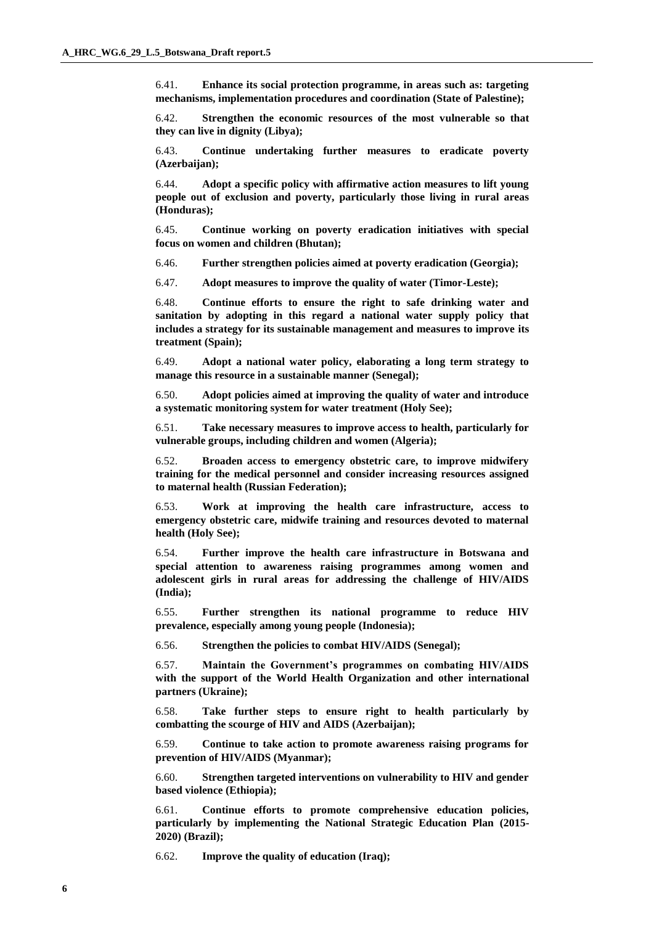6.41. **Enhance its social protection programme, in areas such as: targeting mechanisms, implementation procedures and coordination (State of Palestine);**

6.42. **Strengthen the economic resources of the most vulnerable so that they can live in dignity (Libya);**

6.43. **Continue undertaking further measures to eradicate poverty (Azerbaijan);**

6.44. **Adopt a specific policy with affirmative action measures to lift young people out of exclusion and poverty, particularly those living in rural areas (Honduras);**

6.45. **Continue working on poverty eradication initiatives with special focus on women and children (Bhutan);**

6.46. **Further strengthen policies aimed at poverty eradication (Georgia);**

6.47. **Adopt measures to improve the quality of water (Timor-Leste);**

6.48. **Continue efforts to ensure the right to safe drinking water and sanitation by adopting in this regard a national water supply policy that includes a strategy for its sustainable management and measures to improve its treatment (Spain);**

6.49. **Adopt a national water policy, elaborating a long term strategy to manage this resource in a sustainable manner (Senegal);**

6.50. **Adopt policies aimed at improving the quality of water and introduce a systematic monitoring system for water treatment (Holy See);**

6.51. **Take necessary measures to improve access to health, particularly for vulnerable groups, including children and women (Algeria);**

6.52. **Broaden access to emergency obstetric care, to improve midwifery training for the medical personnel and consider increasing resources assigned to maternal health (Russian Federation);**

6.53. **Work at improving the health care infrastructure, access to emergency obstetric care, midwife training and resources devoted to maternal health (Holy See);**

6.54. **Further improve the health care infrastructure in Botswana and special attention to awareness raising programmes among women and adolescent girls in rural areas for addressing the challenge of HIV/AIDS (India);**

6.55. **Further strengthen its national programme to reduce HIV prevalence, especially among young people (Indonesia);**

6.56. **Strengthen the policies to combat HIV/AIDS (Senegal);**

6.57. **Maintain the Government's programmes on combating HIV/AIDS with the support of the World Health Organization and other international partners (Ukraine);**

6.58. **Take further steps to ensure right to health particularly by combatting the scourge of HIV and AIDS (Azerbaijan);**

6.59. **Continue to take action to promote awareness raising programs for prevention of HIV/AIDS (Myanmar);**

6.60. **Strengthen targeted interventions on vulnerability to HIV and gender based violence (Ethiopia);**

6.61. **Continue efforts to promote comprehensive education policies, particularly by implementing the National Strategic Education Plan (2015- 2020) (Brazil);**

6.62. **Improve the quality of education (Iraq);**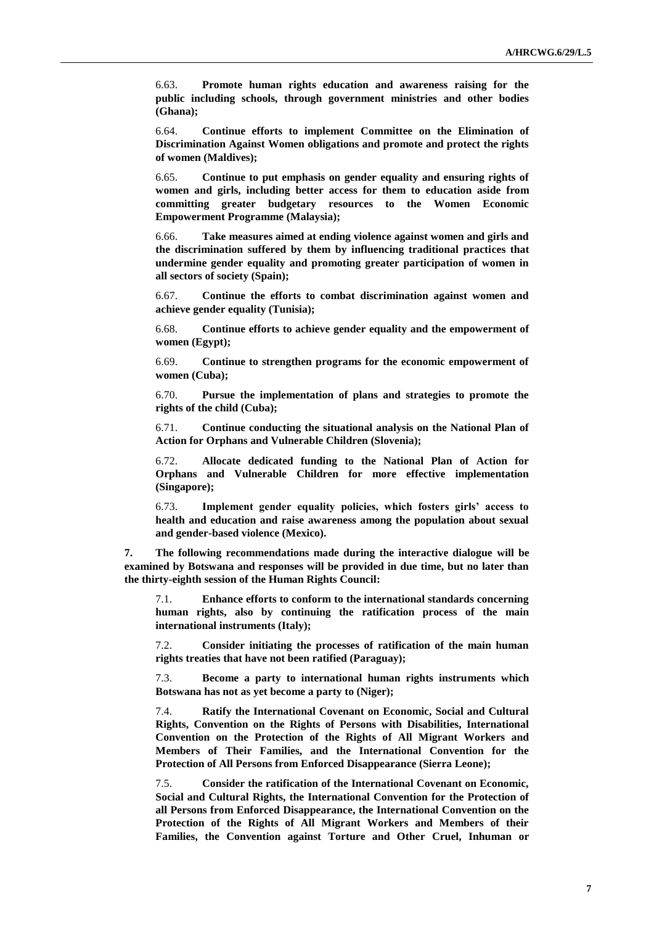6.63. **Promote human rights education and awareness raising for the public including schools, through government ministries and other bodies (Ghana);**

6.64. **Continue efforts to implement Committee on the Elimination of Discrimination Against Women obligations and promote and protect the rights of women (Maldives);**

6.65. **Continue to put emphasis on gender equality and ensuring rights of women and girls, including better access for them to education aside from committing greater budgetary resources to the Women Economic Empowerment Programme (Malaysia);**

6.66. **Take measures aimed at ending violence against women and girls and the discrimination suffered by them by influencing traditional practices that undermine gender equality and promoting greater participation of women in all sectors of society (Spain);**

6.67. **Continue the efforts to combat discrimination against women and achieve gender equality (Tunisia);**

6.68. **Continue efforts to achieve gender equality and the empowerment of women (Egypt);**

6.69. **Continue to strengthen programs for the economic empowerment of women (Cuba);**

6.70. **Pursue the implementation of plans and strategies to promote the rights of the child (Cuba);**

6.71. **Continue conducting the situational analysis on the National Plan of Action for Orphans and Vulnerable Children (Slovenia);**

6.72. **Allocate dedicated funding to the National Plan of Action for Orphans and Vulnerable Children for more effective implementation (Singapore);**

6.73. **Implement gender equality policies, which fosters girls' access to health and education and raise awareness among the population about sexual and gender-based violence (Mexico).**

**7. The following recommendations made during the interactive dialogue will be examined by Botswana and responses will be provided in due time, but no later than the thirty-eighth session of the Human Rights Council:**

7.1. **Enhance efforts to conform to the international standards concerning human rights, also by continuing the ratification process of the main international instruments (Italy);**

7.2. **Consider initiating the processes of ratification of the main human rights treaties that have not been ratified (Paraguay);**

7.3. **Become a party to international human rights instruments which Botswana has not as yet become a party to (Niger);**

7.4. **Ratify the International Covenant on Economic, Social and Cultural Rights, Convention on the Rights of Persons with Disabilities, International Convention on the Protection of the Rights of All Migrant Workers and Members of Their Families, and the International Convention for the Protection of All Persons from Enforced Disappearance (Sierra Leone);**

7.5. **Consider the ratification of the International Covenant on Economic, Social and Cultural Rights, the International Convention for the Protection of all Persons from Enforced Disappearance, the International Convention on the Protection of the Rights of All Migrant Workers and Members of their Families, the Convention against Torture and Other Cruel, Inhuman or**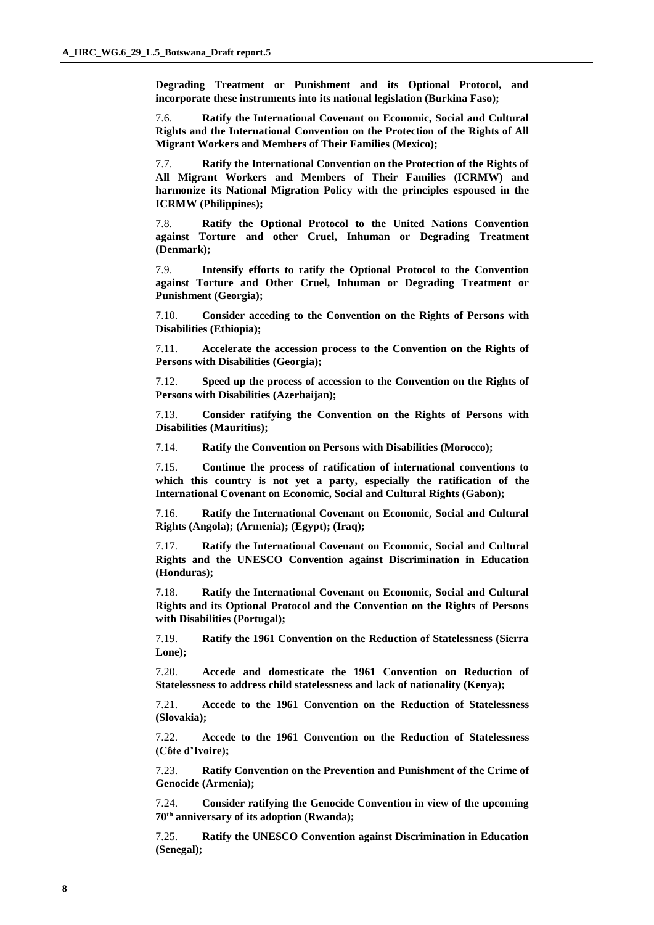**Degrading Treatment or Punishment and its Optional Protocol, and incorporate these instruments into its national legislation (Burkina Faso);**

7.6. **Ratify the International Covenant on Economic, Social and Cultural Rights and the International Convention on the Protection of the Rights of All Migrant Workers and Members of Their Families (Mexico);**

7.7. **Ratify the International Convention on the Protection of the Rights of All Migrant Workers and Members of Their Families (ICRMW) and harmonize its National Migration Policy with the principles espoused in the ICRMW (Philippines);**

7.8. **Ratify the Optional Protocol to the United Nations Convention against Torture and other Cruel, Inhuman or Degrading Treatment (Denmark);**

7.9. **Intensify efforts to ratify the Optional Protocol to the Convention against Torture and Other Cruel, Inhuman or Degrading Treatment or Punishment (Georgia);**

7.10. **Consider acceding to the Convention on the Rights of Persons with Disabilities (Ethiopia);**

7.11. **Accelerate the accession process to the Convention on the Rights of Persons with Disabilities (Georgia);**

7.12. **Speed up the process of accession to the Convention on the Rights of Persons with Disabilities (Azerbaijan);**

7.13. **Consider ratifying the Convention on the Rights of Persons with Disabilities (Mauritius);**

7.14. **Ratify the Convention on Persons with Disabilities (Morocco);**

7.15. **Continue the process of ratification of international conventions to which this country is not yet a party, especially the ratification of the International Covenant on Economic, Social and Cultural Rights (Gabon);**

7.16. **Ratify the International Covenant on Economic, Social and Cultural Rights (Angola); (Armenia); (Egypt); (Iraq);**

7.17. **Ratify the International Covenant on Economic, Social and Cultural Rights and the UNESCO Convention against Discrimination in Education (Honduras);**

7.18. **Ratify the International Covenant on Economic, Social and Cultural Rights and its Optional Protocol and the Convention on the Rights of Persons with Disabilities (Portugal);**

7.19. **Ratify the 1961 Convention on the Reduction of Statelessness (Sierra Lone);**

7.20. **Accede and domesticate the 1961 Convention on Reduction of Statelessness to address child statelessness and lack of nationality (Kenya);**

7.21. **Accede to the 1961 Convention on the Reduction of Statelessness (Slovakia);**

7.22. **Accede to the 1961 Convention on the Reduction of Statelessness (Côte d'Ivoire);**

7.23. **Ratify Convention on the Prevention and Punishment of the Crime of Genocide (Armenia);**

7.24. **Consider ratifying the Genocide Convention in view of the upcoming 70th anniversary of its adoption (Rwanda);**

7.25. **Ratify the UNESCO Convention against Discrimination in Education (Senegal);**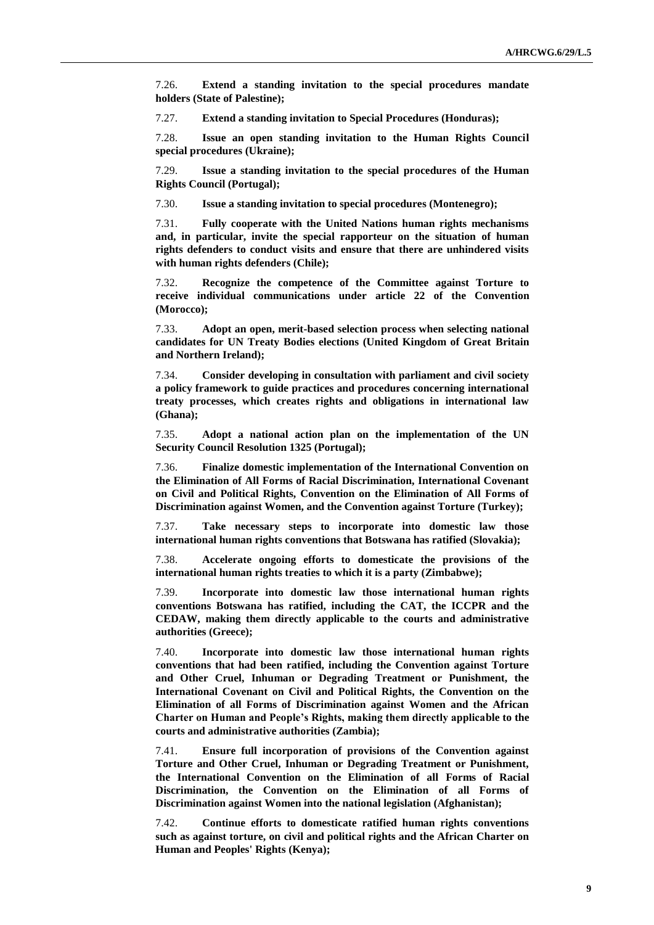7.26. **Extend a standing invitation to the special procedures mandate holders (State of Palestine);**

7.27. **Extend a standing invitation to Special Procedures (Honduras);**

7.28. **Issue an open standing invitation to the Human Rights Council special procedures (Ukraine);**

7.29. **Issue a standing invitation to the special procedures of the Human Rights Council (Portugal);**

7.30. **Issue a standing invitation to special procedures (Montenegro);**

7.31. **Fully cooperate with the United Nations human rights mechanisms and, in particular, invite the special rapporteur on the situation of human rights defenders to conduct visits and ensure that there are unhindered visits with human rights defenders (Chile);**

7.32. **Recognize the competence of the Committee against Torture to receive individual communications under article 22 of the Convention (Morocco);**

7.33. **Adopt an open, merit-based selection process when selecting national candidates for UN Treaty Bodies elections (United Kingdom of Great Britain and Northern Ireland);**

7.34. **Consider developing in consultation with parliament and civil society a policy framework to guide practices and procedures concerning international treaty processes, which creates rights and obligations in international law (Ghana);**

7.35. **Adopt a national action plan on the implementation of the UN Security Council Resolution 1325 (Portugal);**

7.36. **Finalize domestic implementation of the International Convention on the Elimination of All Forms of Racial Discrimination, International Covenant on Civil and Political Rights, Convention on the Elimination of All Forms of Discrimination against Women, and the Convention against Torture (Turkey);**

7.37. **Take necessary steps to incorporate into domestic law those international human rights conventions that Botswana has ratified (Slovakia);**

7.38. **Accelerate ongoing efforts to domesticate the provisions of the international human rights treaties to which it is a party (Zimbabwe);**

7.39. **Incorporate into domestic law those international human rights conventions Botswana has ratified, including the CAT, the ICCPR and the CEDAW, making them directly applicable to the courts and administrative authorities (Greece);**

7.40. **Incorporate into domestic law those international human rights conventions that had been ratified, including the Convention against Torture and Other Cruel, Inhuman or Degrading Treatment or Punishment, the International Covenant on Civil and Political Rights, the Convention on the Elimination of all Forms of Discrimination against Women and the African Charter on Human and People's Rights, making them directly applicable to the courts and administrative authorities (Zambia);**

7.41. **Ensure full incorporation of provisions of the Convention against Torture and Other Cruel, Inhuman or Degrading Treatment or Punishment, the International Convention on the Elimination of all Forms of Racial Discrimination, the Convention on the Elimination of all Forms of Discrimination against Women into the national legislation (Afghanistan);**

7.42. **Continue efforts to domesticate ratified human rights conventions such as against torture, on civil and political rights and the African Charter on Human and Peoples' Rights (Kenya);**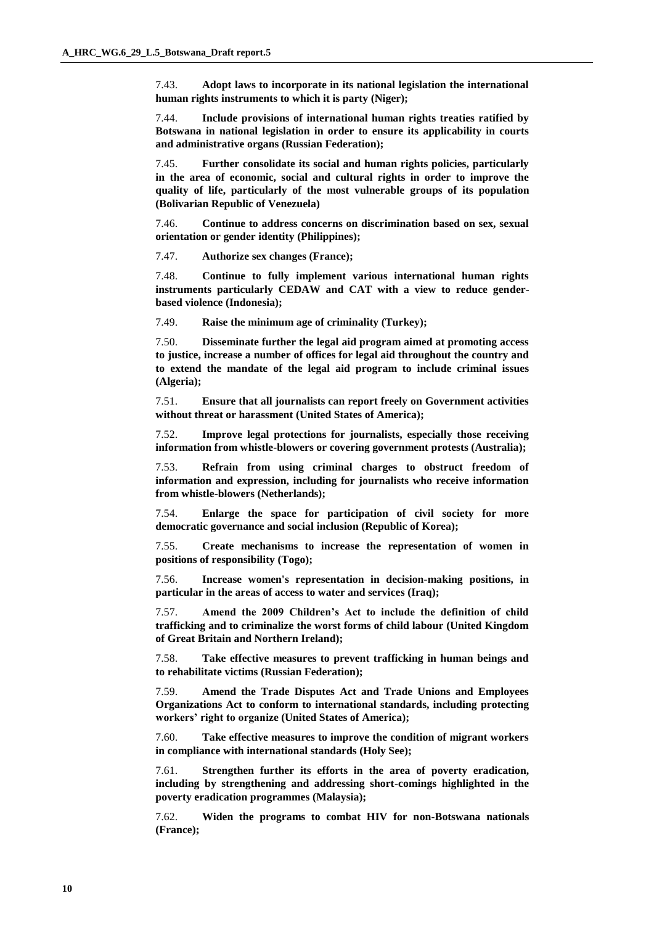7.43. **Adopt laws to incorporate in its national legislation the international human rights instruments to which it is party (Niger);**

7.44. **Include provisions of international human rights treaties ratified by Botswana in national legislation in order to ensure its applicability in courts and administrative organs (Russian Federation);**

7.45. **Further consolidate its social and human rights policies, particularly in the area of economic, social and cultural rights in order to improve the quality of life, particularly of the most vulnerable groups of its population (Bolivarian Republic of Venezuela)**

7.46. **Continue to address concerns on discrimination based on sex, sexual orientation or gender identity (Philippines);**

7.47. **Authorize sex changes (France);**

7.48. **Continue to fully implement various international human rights instruments particularly CEDAW and CAT with a view to reduce genderbased violence (Indonesia);**

7.49. **Raise the minimum age of criminality (Turkey);**

7.50. **Disseminate further the legal aid program aimed at promoting access to justice, increase a number of offices for legal aid throughout the country and to extend the mandate of the legal aid program to include criminal issues (Algeria);**

7.51. **Ensure that all journalists can report freely on Government activities without threat or harassment (United States of America);**

7.52. **Improve legal protections for journalists, especially those receiving information from whistle-blowers or covering government protests (Australia);**

7.53. **Refrain from using criminal charges to obstruct freedom of information and expression, including for journalists who receive information from whistle-blowers (Netherlands);**

7.54. **Enlarge the space for participation of civil society for more democratic governance and social inclusion (Republic of Korea);**

7.55. **Create mechanisms to increase the representation of women in positions of responsibility (Togo);**

7.56. **Increase women's representation in decision-making positions, in particular in the areas of access to water and services (Iraq);**

7.57. **Amend the 2009 Children's Act to include the definition of child trafficking and to criminalize the worst forms of child labour (United Kingdom of Great Britain and Northern Ireland);**

7.58. **Take effective measures to prevent trafficking in human beings and to rehabilitate victims (Russian Federation);**

7.59. **Amend the Trade Disputes Act and Trade Unions and Employees Organizations Act to conform to international standards, including protecting workers' right to organize (United States of America);**

7.60. **Take effective measures to improve the condition of migrant workers in compliance with international standards (Holy See);**

7.61. **Strengthen further its efforts in the area of poverty eradication, including by strengthening and addressing short-comings highlighted in the poverty eradication programmes (Malaysia);**

7.62. **Widen the programs to combat HIV for non-Botswana nationals (France);**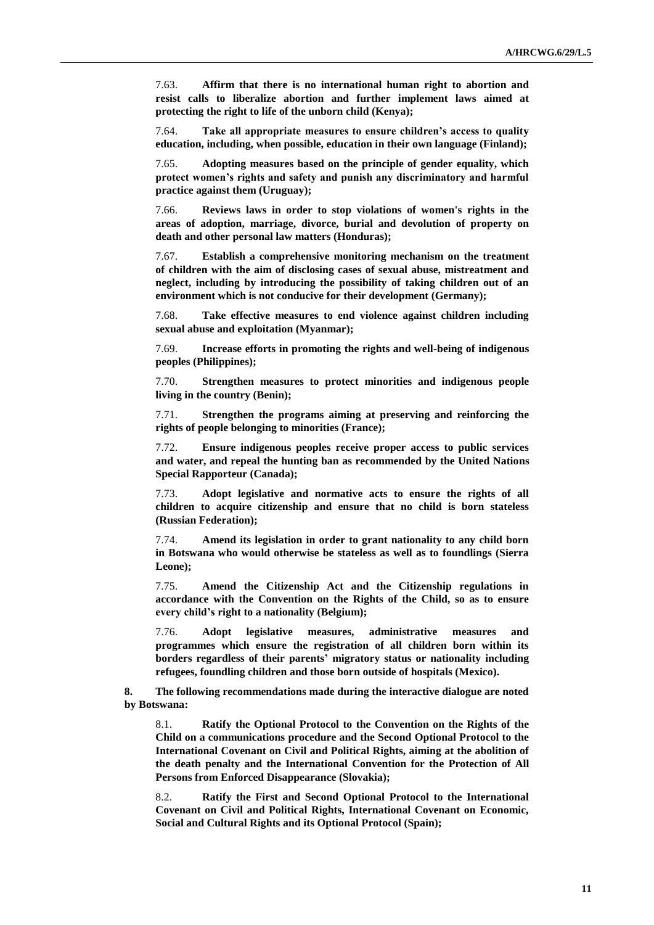7.63. **Affirm that there is no international human right to abortion and resist calls to liberalize abortion and further implement laws aimed at protecting the right to life of the unborn child (Kenya);**

7.64. **Take all appropriate measures to ensure children's access to quality education, including, when possible, education in their own language (Finland);**

7.65. **Adopting measures based on the principle of gender equality, which protect women's rights and safety and punish any discriminatory and harmful practice against them (Uruguay);**

7.66. **Reviews laws in order to stop violations of women's rights in the areas of adoption, marriage, divorce, burial and devolution of property on death and other personal law matters (Honduras);**

7.67. **Establish a comprehensive monitoring mechanism on the treatment of children with the aim of disclosing cases of sexual abuse, mistreatment and neglect, including by introducing the possibility of taking children out of an environment which is not conducive for their development (Germany);**

7.68. **Take effective measures to end violence against children including sexual abuse and exploitation (Myanmar);**

7.69. **Increase efforts in promoting the rights and well-being of indigenous peoples (Philippines);**

7.70. **Strengthen measures to protect minorities and indigenous people living in the country (Benin);**

7.71. **Strengthen the programs aiming at preserving and reinforcing the rights of people belonging to minorities (France);**

7.72. **Ensure indigenous peoples receive proper access to public services and water, and repeal the hunting ban as recommended by the United Nations Special Rapporteur (Canada);**

7.73. **Adopt legislative and normative acts to ensure the rights of all children to acquire citizenship and ensure that no child is born stateless (Russian Federation);**

7.74. **Amend its legislation in order to grant nationality to any child born in Botswana who would otherwise be stateless as well as to foundlings (Sierra Leone);**

7.75. **Amend the Citizenship Act and the Citizenship regulations in accordance with the Convention on the Rights of the Child, so as to ensure every child's right to a nationality (Belgium);**

7.76. **Adopt legislative measures, administrative measures and programmes which ensure the registration of all children born within its borders regardless of their parents' migratory status or nationality including refugees, foundling children and those born outside of hospitals (Mexico).**

**8. The following recommendations made during the interactive dialogue are noted by Botswana:**

8.1. **Ratify the Optional Protocol to the Convention on the Rights of the Child on a communications procedure and the Second Optional Protocol to the International Covenant on Civil and Political Rights, aiming at the abolition of the death penalty and the International Convention for the Protection of All Persons from Enforced Disappearance (Slovakia);**

8.2. **Ratify the First and Second Optional Protocol to the International Covenant on Civil and Political Rights, International Covenant on Economic, Social and Cultural Rights and its Optional Protocol (Spain);**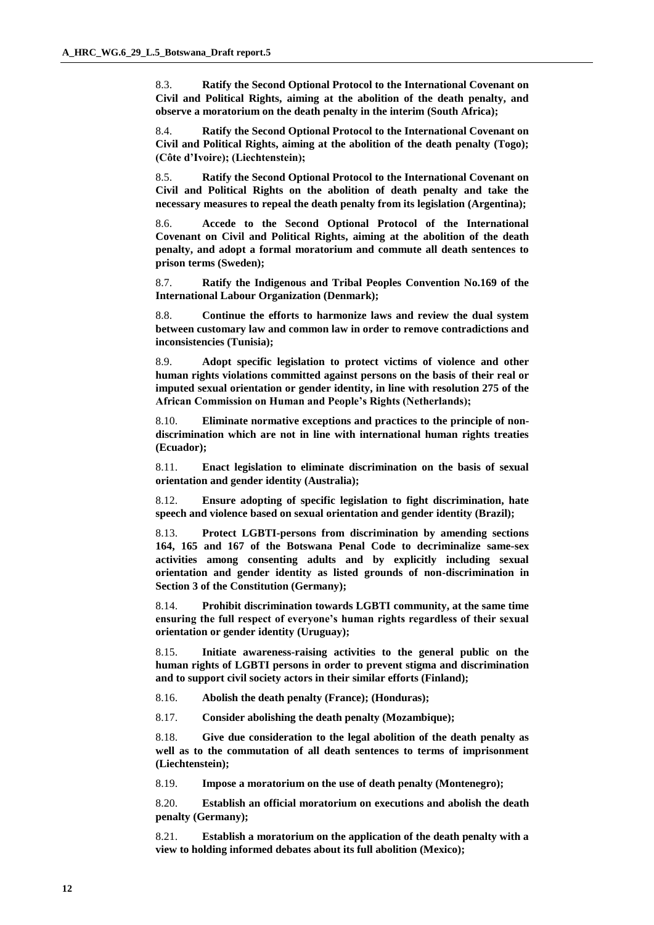8.3. **Ratify the Second Optional Protocol to the International Covenant on Civil and Political Rights, aiming at the abolition of the death penalty, and observe a moratorium on the death penalty in the interim (South Africa);**

8.4. **Ratify the Second Optional Protocol to the International Covenant on Civil and Political Rights, aiming at the abolition of the death penalty (Togo); (Côte d'Ivoire); (Liechtenstein);**

8.5. **Ratify the Second Optional Protocol to the International Covenant on Civil and Political Rights on the abolition of death penalty and take the necessary measures to repeal the death penalty from its legislation (Argentina);**

8.6. **Accede to the Second Optional Protocol of the International Covenant on Civil and Political Rights, aiming at the abolition of the death penalty, and adopt a formal moratorium and commute all death sentences to prison terms (Sweden);**

8.7. **Ratify the Indigenous and Tribal Peoples Convention No.169 of the International Labour Organization (Denmark);**

8.8. **Continue the efforts to harmonize laws and review the dual system between customary law and common law in order to remove contradictions and inconsistencies (Tunisia);**

8.9. **Adopt specific legislation to protect victims of violence and other human rights violations committed against persons on the basis of their real or imputed sexual orientation or gender identity, in line with resolution 275 of the African Commission on Human and People's Rights (Netherlands);**

8.10. **Eliminate normative exceptions and practices to the principle of nondiscrimination which are not in line with international human rights treaties (Ecuador);**

8.11. **Enact legislation to eliminate discrimination on the basis of sexual orientation and gender identity (Australia);**

8.12. **Ensure adopting of specific legislation to fight discrimination, hate speech and violence based on sexual orientation and gender identity (Brazil);**

8.13. **Protect LGBTI-persons from discrimination by amending sections 164, 165 and 167 of the Botswana Penal Code to decriminalize same-sex activities among consenting adults and by explicitly including sexual orientation and gender identity as listed grounds of non-discrimination in Section 3 of the Constitution (Germany);**

8.14. **Prohibit discrimination towards LGBTI community, at the same time ensuring the full respect of everyone's human rights regardless of their sexual orientation or gender identity (Uruguay);**

8.15. **Initiate awareness-raising activities to the general public on the human rights of LGBTI persons in order to prevent stigma and discrimination and to support civil society actors in their similar efforts (Finland);**

8.16. **Abolish the death penalty (France); (Honduras);**

8.17. **Consider abolishing the death penalty (Mozambique);**

8.18. **Give due consideration to the legal abolition of the death penalty as well as to the commutation of all death sentences to terms of imprisonment (Liechtenstein);**

8.19. **Impose a moratorium on the use of death penalty (Montenegro);**

8.20. **Establish an official moratorium on executions and abolish the death penalty (Germany);**

8.21. **Establish a moratorium on the application of the death penalty with a view to holding informed debates about its full abolition (Mexico);**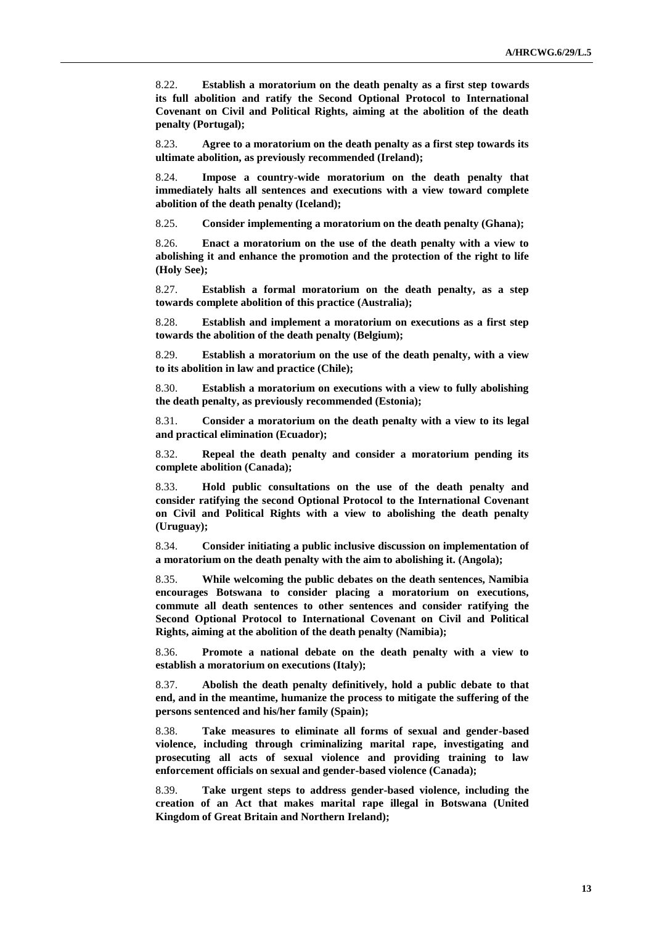8.22. **Establish a moratorium on the death penalty as a first step towards its full abolition and ratify the Second Optional Protocol to International Covenant on Civil and Political Rights, aiming at the abolition of the death penalty (Portugal);**

8.23. **Agree to a moratorium on the death penalty as a first step towards its ultimate abolition, as previously recommended (Ireland);**

8.24. **Impose a country-wide moratorium on the death penalty that immediately halts all sentences and executions with a view toward complete abolition of the death penalty (Iceland);**

8.25. **Consider implementing a moratorium on the death penalty (Ghana);**

8.26. **Enact a moratorium on the use of the death penalty with a view to abolishing it and enhance the promotion and the protection of the right to life (Holy See);**

8.27. **Establish a formal moratorium on the death penalty, as a step towards complete abolition of this practice (Australia);**

8.28. **Establish and implement a moratorium on executions as a first step towards the abolition of the death penalty (Belgium);**

8.29. **Establish a moratorium on the use of the death penalty, with a view to its abolition in law and practice (Chile);**

8.30. **Establish a moratorium on executions with a view to fully abolishing the death penalty, as previously recommended (Estonia);**

8.31. **Consider a moratorium on the death penalty with a view to its legal and practical elimination (Ecuador);**

8.32. **Repeal the death penalty and consider a moratorium pending its complete abolition (Canada);**

8.33. **Hold public consultations on the use of the death penalty and consider ratifying the second Optional Protocol to the International Covenant on Civil and Political Rights with a view to abolishing the death penalty (Uruguay);**

8.34. **Consider initiating a public inclusive discussion on implementation of a moratorium on the death penalty with the aim to abolishing it. (Angola);**

8.35. **While welcoming the public debates on the death sentences, Namibia encourages Botswana to consider placing a moratorium on executions, commute all death sentences to other sentences and consider ratifying the Second Optional Protocol to International Covenant on Civil and Political Rights, aiming at the abolition of the death penalty (Namibia);**

8.36. **Promote a national debate on the death penalty with a view to establish a moratorium on executions (Italy);**

8.37. **Abolish the death penalty definitively, hold a public debate to that end, and in the meantime, humanize the process to mitigate the suffering of the persons sentenced and his/her family (Spain);**

8.38. **Take measures to eliminate all forms of sexual and gender-based violence, including through criminalizing marital rape, investigating and prosecuting all acts of sexual violence and providing training to law enforcement officials on sexual and gender-based violence (Canada);**

8.39. **Take urgent steps to address gender-based violence, including the creation of an Act that makes marital rape illegal in Botswana (United Kingdom of Great Britain and Northern Ireland);**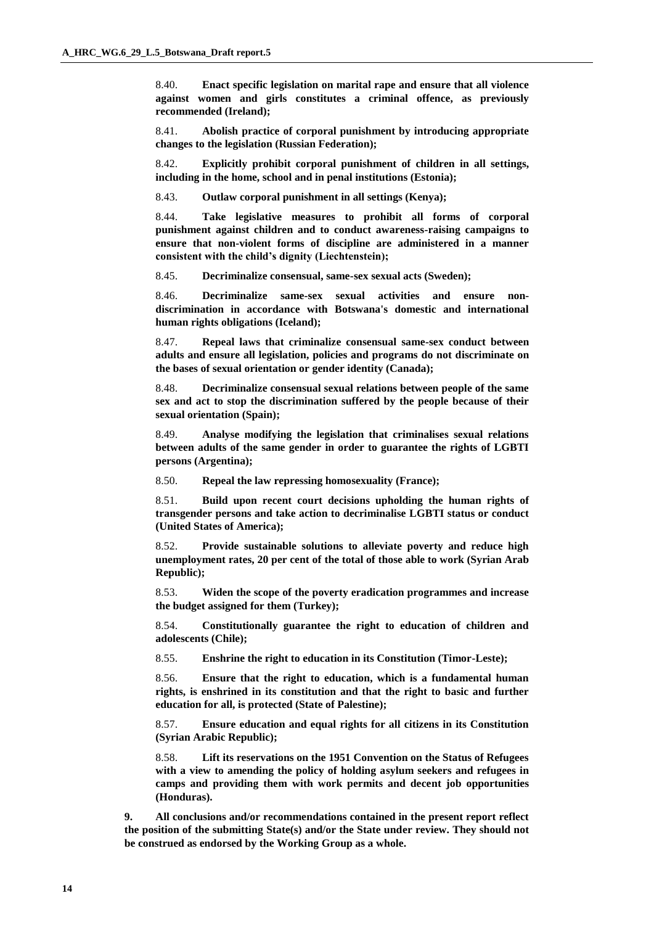8.40. **Enact specific legislation on marital rape and ensure that all violence against women and girls constitutes a criminal offence, as previously recommended (Ireland);**

8.41. **Abolish practice of corporal punishment by introducing appropriate changes to the legislation (Russian Federation);**

8.42. **Explicitly prohibit corporal punishment of children in all settings, including in the home, school and in penal institutions (Estonia);**

8.43. **Outlaw corporal punishment in all settings (Kenya);**

8.44. **Take legislative measures to prohibit all forms of corporal punishment against children and to conduct awareness-raising campaigns to ensure that non-violent forms of discipline are administered in a manner consistent with the child's dignity (Liechtenstein);**

8.45. **Decriminalize consensual, same-sex sexual acts (Sweden);**

8.46. **Decriminalize same-sex sexual activities and ensure nondiscrimination in accordance with Botswana's domestic and international human rights obligations (Iceland);**

8.47. **Repeal laws that criminalize consensual same-sex conduct between adults and ensure all legislation, policies and programs do not discriminate on the bases of sexual orientation or gender identity (Canada);**

8.48. **Decriminalize consensual sexual relations between people of the same sex and act to stop the discrimination suffered by the people because of their sexual orientation (Spain);**

8.49. **Analyse modifying the legislation that criminalises sexual relations between adults of the same gender in order to guarantee the rights of LGBTI persons (Argentina);**

8.50. **Repeal the law repressing homosexuality (France);**

8.51. **Build upon recent court decisions upholding the human rights of transgender persons and take action to decriminalise LGBTI status or conduct (United States of America);**

8.52. **Provide sustainable solutions to alleviate poverty and reduce high unemployment rates, 20 per cent of the total of those able to work (Syrian Arab Republic);**

8.53. **Widen the scope of the poverty eradication programmes and increase the budget assigned for them (Turkey);**

8.54. **Constitutionally guarantee the right to education of children and adolescents (Chile);**

8.55. **Enshrine the right to education in its Constitution (Timor-Leste);**

8.56. **Ensure that the right to education, which is a fundamental human rights, is enshrined in its constitution and that the right to basic and further education for all, is protected (State of Palestine);**

8.57. **Ensure education and equal rights for all citizens in its Constitution (Syrian Arabic Republic);**

8.58. **Lift its reservations on the 1951 Convention on the Status of Refugees with a view to amending the policy of holding asylum seekers and refugees in camps and providing them with work permits and decent job opportunities (Honduras).**

**9. All conclusions and/or recommendations contained in the present report reflect the position of the submitting State(s) and/or the State under review. They should not be construed as endorsed by the Working Group as a whole.**